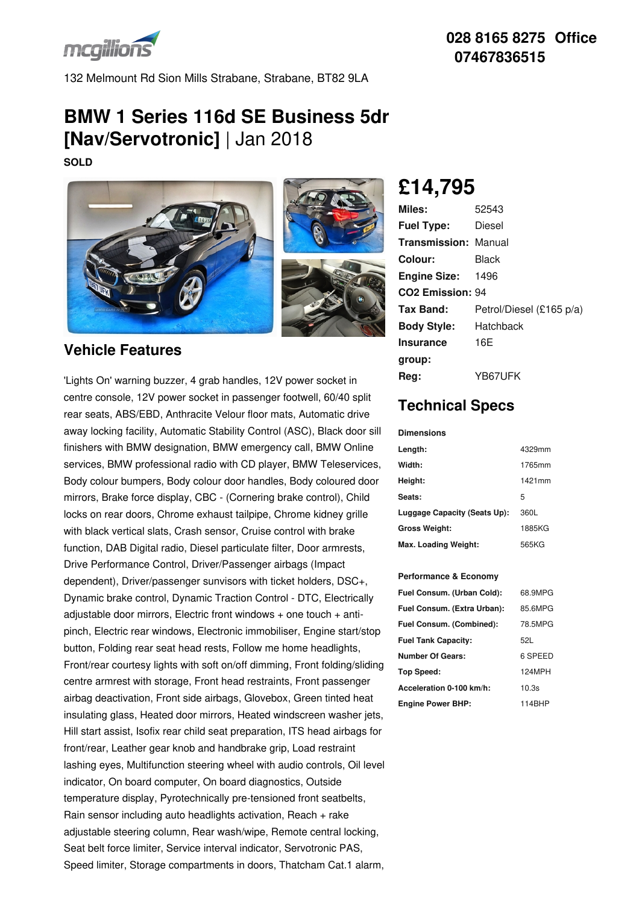

**028 8165 8275 Office 07467836515**

132 Melmount Rd Sion Mills Strabane, Strabane, BT82 9LA

# **BMW 1 Series 116d SE Business 5dr [Nav/Servotronic]** | Jan 2018

**SOLD**





### **Vehicle Features**

'Lights On' warning buzzer, 4 grab handles, 12V power socket in centre console, 12V power socket in passenger footwell, 60/40 split rear seats, ABS/EBD, Anthracite Velour floor mats, Automatic drive away locking facility, Automatic Stability Control (ASC), Black door sill finishers with BMW designation, BMW emergency call, BMW Online services, BMW professional radio with CD player, BMW Teleservices, Body colour bumpers, Body colour door handles, Body coloured door mirrors, Brake force display, CBC - (Cornering brake control), Child locks on rear doors, Chrome exhaust tailpipe, Chrome kidney grille with black vertical slats, Crash sensor, Cruise control with brake function, DAB Digital radio, Diesel particulate filter, Door armrests, Drive Performance Control, Driver/Passenger airbags (Impact dependent), Driver/passenger sunvisors with ticket holders, DSC+, Dynamic brake control, Dynamic Traction Control - DTC, Electrically adjustable door mirrors, Electric front windows + one touch + anti pinch, Electric rear windows, Electronic immobiliser, Engine start/stop button, Folding rear seat head rests, Follow me home headlights, Front/rear courtesy lights with soft on/off dimming, Front folding/sliding centre armrest with storage, Front head restraints, Front passenger airbag deactivation, Front side airbags, Glovebox, Green tinted heat insulating glass, Heated door mirrors, Heated windscreen washer jets, Hill start assist, Isofix rear child seat preparation, ITS head airbags for front/rear, Leather gear knob and handbrake grip, Load restraint lashing eyes, Multifunction steering wheel with audio controls, Oil level indicator, On board computer, On board diagnostics, Outside temperature display, Pyrotechnically pre-tensioned front seatbelts, Rain sensor including auto headlights activation, Reach + rake adjustable steering column, Rear wash/wipe, Remote central locking, Seat belt force limiter, Service interval indicator, Servotronic PAS, Speed limiter, Storage compartments in doors, Thatcham Cat.1 alarm,

## **£14,795**

| Miles:                       | 52543                    |
|------------------------------|--------------------------|
| <b>Fuel Type:</b>            | Diesel                   |
| <b>Transmission: Manual</b>  |                          |
| Colour:                      | Black                    |
| <b>Engine Size: 1496</b>     |                          |
| CO <sub>2</sub> Emission: 94 |                          |
| Tax Band:                    | Petrol/Diesel (£165 p/a) |
| <b>Body Style:</b>           | Hatchback                |
| <b>Insurance</b>             | 16E                      |
| group:                       |                          |
| Reg:                         | YB67UFK                  |

## **Technical Specs**

### **Dimensions**

| Length:                      | 4329mm |
|------------------------------|--------|
| Width:                       | 1765mm |
| Height:                      | 1421mm |
| Seats:                       | 5      |
| Luggage Capacity (Seats Up): | 360L   |
| <b>Gross Weight:</b>         | 1885KG |
| Max. Loading Weight:         | 565KG  |

### **Performance & Economy**

| Fuel Consum. (Urban Cold):  | 68.9MPG |
|-----------------------------|---------|
| Fuel Consum. (Extra Urban): | 85 6MPG |
| Fuel Consum. (Combined):    | 78.5MPG |
| <b>Fuel Tank Capacity:</b>  | 521.    |
| <b>Number Of Gears:</b>     | 6 SPEED |
| Top Speed:                  | 124MPH  |
| Acceleration 0-100 km/h:    | 10.3s   |
| <b>Engine Power BHP:</b>    | 114BHP  |